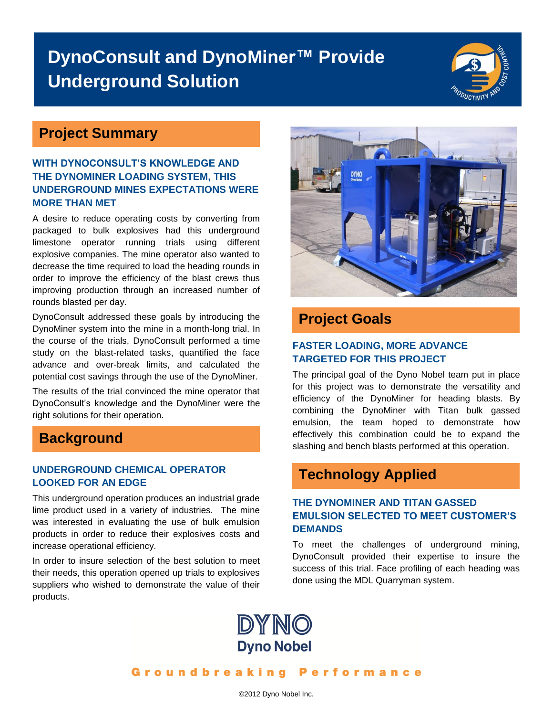# **DynoConsult and DynoMiner™ Provide Underground Solution**



## **Project Summary**

#### **WITH DYNOCONSULT'S KNOWLEDGE AND THE DYNOMINER LOADING SYSTEM, THIS UNDERGROUND MINES EXPECTATIONS WERE MORE THAN MET**

A desire to reduce operating costs by converting from packaged to bulk explosives had this underground limestone operator running trials using different explosive companies. The mine operator also wanted to decrease the time required to load the heading rounds in order to improve the efficiency of the blast crews thus improving production through an increased number of rounds blasted per day.

DynoConsult addressed these goals by introducing the DynoMiner system into the mine in a month-long trial. In the course of the trials, DynoConsult performed a time study on the blast-related tasks, quantified the face advance and over-break limits, and calculated the potential cost savings through the use of the DynoMiner.

The results of the trial convinced the mine operator that DynoConsult's knowledge and the DynoMiner were the right solutions for their operation.

### **Background**

#### **UNDERGROUND CHEMICAL OPERATOR LOOKED FOR AN EDGE**

This underground operation produces an industrial grade lime product used in a variety of industries. The mine was interested in evaluating the use of bulk emulsion products in order to reduce their explosives costs and increase operational efficiency.

In order to insure selection of the best solution to meet their needs, this operation opened up trials to explosives suppliers who wished to demonstrate the value of their products.



## **Project Goals**

#### **FASTER LOADING, MORE ADVANCE TARGETED FOR THIS PROJECT**

The principal goal of the Dyno Nobel team put in place for this project was to demonstrate the versatility and efficiency of the DynoMiner for heading blasts. By combining the DynoMiner with Titan bulk gassed emulsion, the team hoped to demonstrate how effectively this combination could be to expand the slashing and bench blasts performed at this operation.

# **Technology Applied**

#### **THE DYNOMINER AND TITAN GASSED EMULSION SELECTED TO MEET CUSTOMER'S DEMANDS**

To meet the challenges of underground mining, DynoConsult provided their expertise to insure the success of this trial. Face profiling of each heading was done using the MDL Quarryman system.